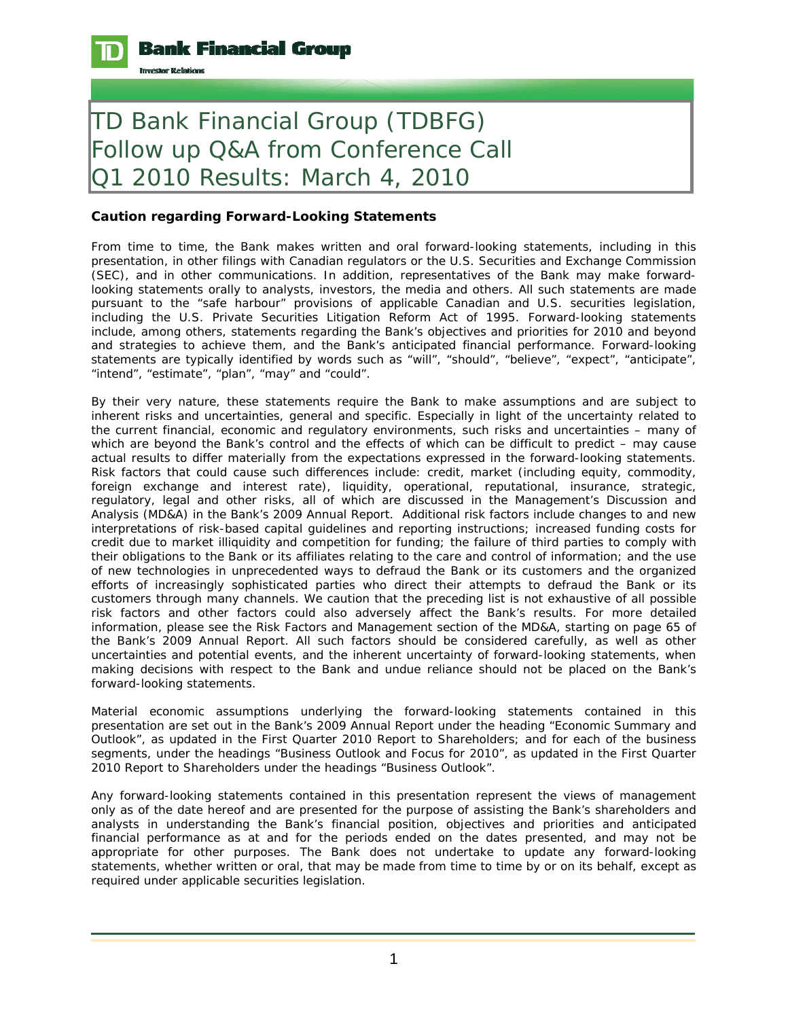

## TD Bank Financial Group (TDBFG) Follow up Q&A from Conference Call Q1 2010 Results: March 4, 2010

## **Caution regarding Forward-Looking Statements**

From time to time, the Bank makes written and oral forward-looking statements, including in this presentation, in other filings with Canadian regulators or the U.S. Securities and Exchange Commission (SEC), and in other communications. In addition, representatives of the Bank may make forwardlooking statements orally to analysts, investors, the media and others. All such statements are made pursuant to the "safe harbour" provisions of applicable Canadian and U.S. securities legislation, including the U.S. Private Securities Litigation Reform Act of 1995. Forward-looking statements include, among others, statements regarding the Bank's objectives and priorities for 2010 and beyond and strategies to achieve them, and the Bank's anticipated financial performance. Forward-looking statements are typically identified by words such as "will", "should", "believe", "expect", "anticipate", "intend", "estimate", "plan", "may" and "could".

By their very nature, these statements require the Bank to make assumptions and are subject to inherent risks and uncertainties, general and specific. Especially in light of the uncertainty related to the current financial, economic and regulatory environments, such risks and uncertainties – many of which are beyond the Bank's control and the effects of which can be difficult to predict – may cause actual results to differ materially from the expectations expressed in the forward-looking statements. Risk factors that could cause such differences include: credit, market (including equity, commodity, foreign exchange and interest rate), liquidity, operational, reputational, insurance, strategic, regulatory, legal and other risks, all of which are discussed in the Management's Discussion and Analysis (MD&A) in the Bank's 2009 Annual Report. Additional risk factors include changes to and new interpretations of risk-based capital guidelines and reporting instructions; increased funding costs for credit due to market illiquidity and competition for funding; the failure of third parties to comply with their obligations to the Bank or its affiliates relating to the care and control of information; and the use of new technologies in unprecedented ways to defraud the Bank or its customers and the organized efforts of increasingly sophisticated parties who direct their attempts to defraud the Bank or its customers through many channels. We caution that the preceding list is not exhaustive of all possible risk factors and other factors could also adversely affect the Bank's results. For more detailed information, please see the Risk Factors and Management section of the MD&A, starting on page 65 of the Bank's 2009 Annual Report. All such factors should be considered carefully, as well as other uncertainties and potential events, and the inherent uncertainty of forward-looking statements, when making decisions with respect to the Bank and undue reliance should not be placed on the Bank's forward-looking statements.

Material economic assumptions underlying the forward-looking statements contained in this presentation are set out in the Bank's 2009 Annual Report under the heading "Economic Summary and Outlook", as updated in the First Quarter 2010 Report to Shareholders; and for each of the business segments, under the headings "Business Outlook and Focus for 2010", as updated in the First Quarter 2010 Report to Shareholders under the headings "Business Outlook".

Any forward-looking statements contained in this presentation represent the views of management only as of the date hereof and are presented for the purpose of assisting the Bank's shareholders and analysts in understanding the Bank's financial position, objectives and priorities and anticipated financial performance as at and for the periods ended on the dates presented, and may not be appropriate for other purposes. The Bank does not undertake to update any forward-looking statements, whether written or oral, that may be made from time to time by or on its behalf, except as required under applicable securities legislation.